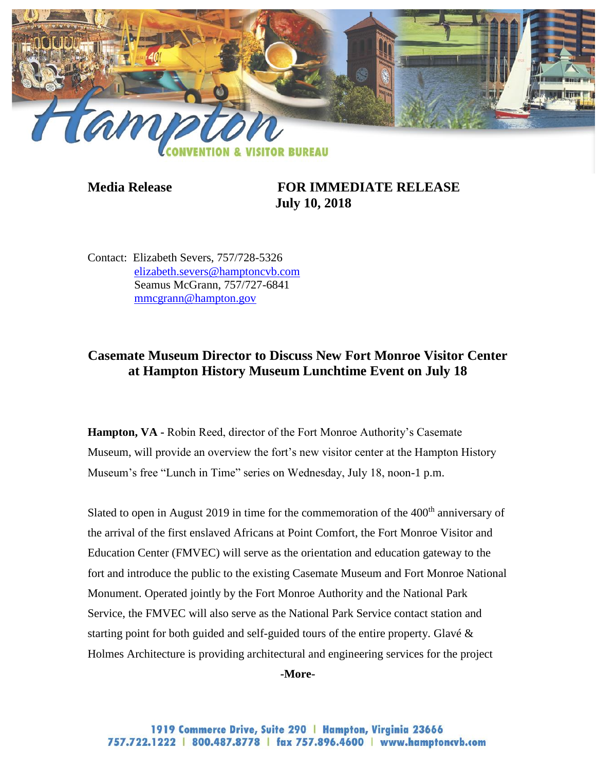

**Media Release FOR IMMEDIATE RELEASE July 10, 2018**

Contact: Elizabeth Severs, 757/728-5326 [elizabeth.severs@hamptoncvb.com](mailto:elizabeth.severs@hamptoncvb.com) Seamus McGrann, 757/727-6841 [mmcgrann@hampton.gov](mailto:mmcgrann@hampton.gov)

## **Casemate Museum Director to Discuss New Fort Monroe Visitor Center at Hampton History Museum Lunchtime Event on July 18**

**Hampton, VA -** Robin Reed, director of the Fort Monroe Authority's Casemate Museum, will provide an overview the fort's new visitor center at the Hampton History Museum's free "Lunch in Time" series on Wednesday, July 18, noon-1 p.m.

Slated to open in August 2019 in time for the commemoration of the 400<sup>th</sup> anniversary of the arrival of the first enslaved Africans at Point Comfort, the Fort Monroe Visitor and Education Center (FMVEC) will serve as the orientation and education gateway to the fort and introduce the public to the existing Casemate Museum and Fort Monroe National Monument. Operated jointly by the Fort Monroe Authority and the National Park Service, the FMVEC will also serve as the National Park Service contact station and starting point for both guided and self-guided tours of the entire property. Glavé & Holmes Architecture is providing architectural and engineering services for the project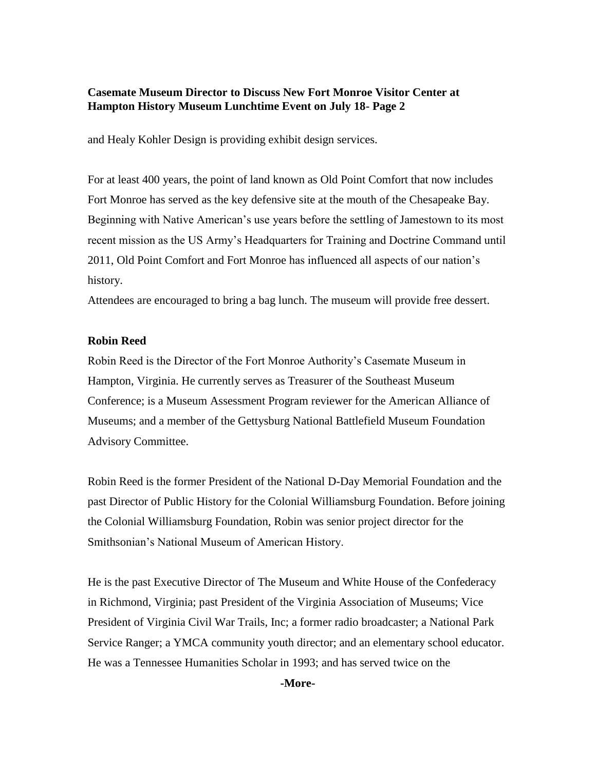## **Casemate Museum Director to Discuss New Fort Monroe Visitor Center at Hampton History Museum Lunchtime Event on July 18- Page 2**

and Healy Kohler Design is providing exhibit design services.

For at least 400 years, the point of land known as Old Point Comfort that now includes Fort Monroe has served as the key defensive site at the mouth of the Chesapeake Bay. Beginning with Native American's use years before the settling of Jamestown to its most recent mission as the US Army's Headquarters for Training and Doctrine Command until 2011, Old Point Comfort and Fort Monroe has influenced all aspects of our nation's history.

Attendees are encouraged to bring a bag lunch. The museum will provide free dessert.

## **Robin Reed**

Robin Reed is the Director of the Fort Monroe Authority's Casemate Museum in Hampton, Virginia. He currently serves as Treasurer of the Southeast Museum Conference; is a Museum Assessment Program reviewer for the American Alliance of Museums; and a member of the Gettysburg National Battlefield Museum Foundation Advisory Committee.

Robin Reed is the former President of the National D-Day Memorial Foundation and the past Director of Public History for the Colonial Williamsburg Foundation. Before joining the Colonial Williamsburg Foundation, Robin was senior project director for the Smithsonian's National Museum of American History.

He is the past Executive Director of The Museum and White House of the Confederacy in Richmond, Virginia; past President of the Virginia Association of Museums; Vice President of Virginia Civil War Trails, Inc; a former radio broadcaster; a National Park Service Ranger; a YMCA community youth director; and an elementary school educator. He was a Tennessee Humanities Scholar in 1993; and has served twice on the

**-More-**